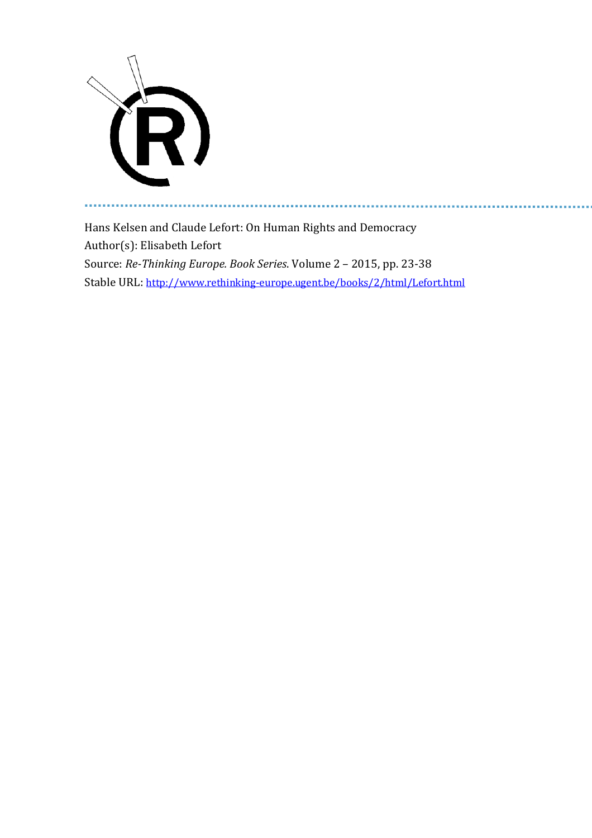

ă.

Hans Kelsen and Claude Lefort: On Human Rights and Democracy Author(s): Elisabeth Lefort Source: *Re-Thinking Europe. Book Series*. Volume 2 – 2015, pp. 23-38 Stable URL: <http://www.rethinking-europe.ugent.be/books/2/html/Lefort.html>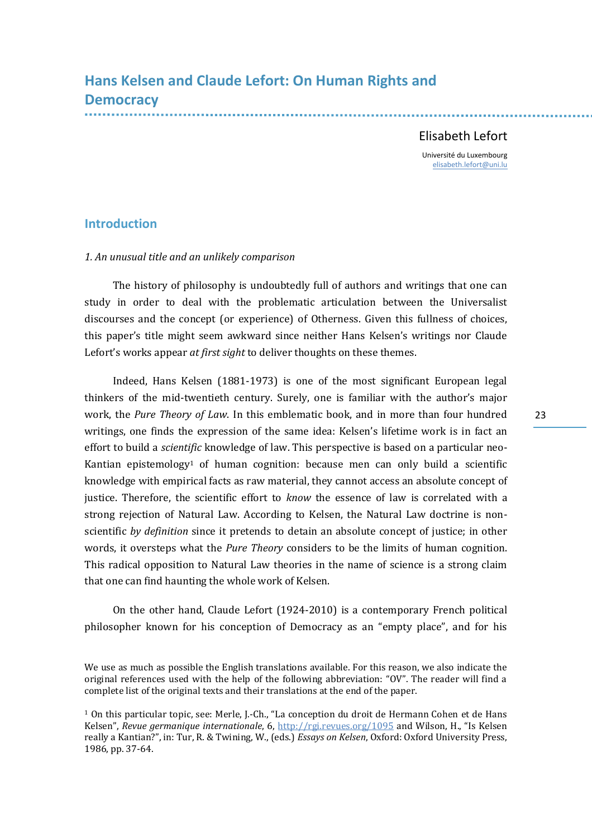# **Hans Kelsen and Claude Lefort: On Human Rights and Democracy**

## Elisabeth Lefort

Université du Luxembourg [elisabeth.lefort@uni.lu](mailto:elisabeth.lefort@uni.lu)

## **Introduction**

### *1. An unusual title and an unlikely comparison*

The history of philosophy is undoubtedly full of authors and writings that one can study in order to deal with the problematic articulation between the Universalist discourses and the concept (or experience) of Otherness. Given this fullness of choices, this paper's title might seem awkward since neither Hans Kelsen's writings nor Claude Lefort's works appear *at first sight* to deliver thoughts on these themes.

Indeed, Hans Kelsen (1881-1973) is one of the most significant European legal thinkers of the mid-twentieth century. Surely, one is familiar with the author's major work, the *Pure Theory of Law*. In this emblematic book, and in more than four hundred writings, one finds the expression of the same idea: Kelsen's lifetime work is in fact an effort to build a *scientific* knowledge of law. This perspective is based on a particular neo-Kantian epistemology<sup>1</sup> of human cognition: because men can only build a scientific knowledge with empirical facts as raw material, they cannot access an absolute concept of justice. Therefore, the scientific effort to *know* the essence of law is correlated with a strong rejection of Natural Law. According to Kelsen, the Natural Law doctrine is nonscientific *by definition* since it pretends to detain an absolute concept of justice; in other words, it oversteps what the *Pure Theory* considers to be the limits of human cognition. This radical opposition to Natural Law theories in the name of science is a strong claim that one can find haunting the whole work of Kelsen.

On the other hand, Claude Lefort (1924-2010) is a contemporary French political philosopher known for his conception of Democracy as an "empty place", and for his

23

We use as much as possible the English translations available. For this reason, we also indicate the original references used with the help of the following abbreviation: "OV". The reader will find a complete list of the original texts and their translations at the end of the paper.

<sup>1</sup> On this particular topic, see: Merle, J.-Ch., "La conception du droit de Hermann Cohen et de Hans Kelsen", *Revue germanique internationale*, 6,<http://rgi.revues.org/1095> and Wilson, H., "Is Kelsen really a Kantian?", in: Tur, R. & Twining, W., (eds.) *Essays on Kelsen*, Oxford: Oxford University Press, 1986, pp. 37-64.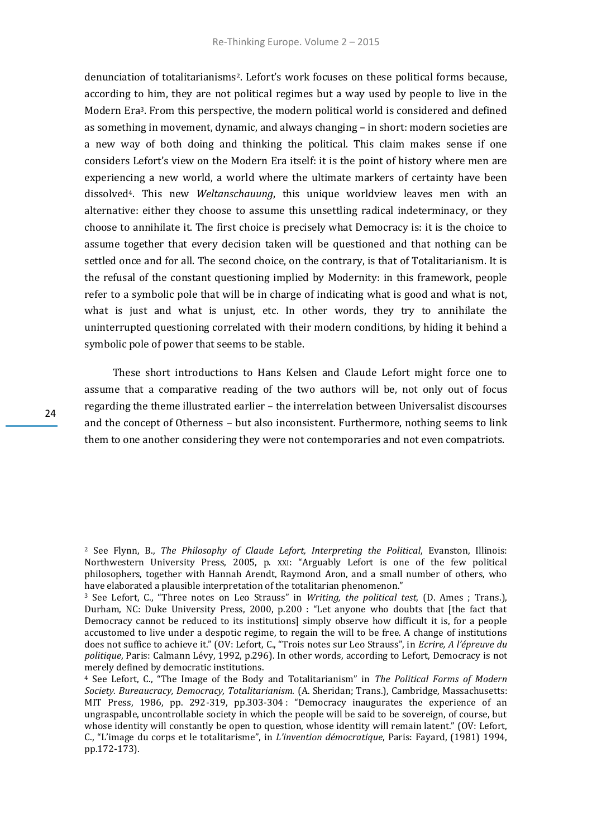denunciation of totalitarianisms2. Lefort's work focuses on these political forms because, according to him, they are not political regimes but a way used by people to live in the Modern Era3. From this perspective, the modern political world is considered and defined as something in movement, dynamic, and always changing – in short: modern societies are a new way of both doing and thinking the political. This claim makes sense if one considers Lefort's view on the Modern Era itself: it is the point of history where men are experiencing a new world, a world where the ultimate markers of certainty have been dissolved4. This new *Weltanschauung*, this unique worldview leaves men with an alternative: either they choose to assume this unsettling radical indeterminacy, or they choose to annihilate it. The first choice is precisely what Democracy is: it is the choice to assume together that every decision taken will be questioned and that nothing can be settled once and for all. The second choice, on the contrary, is that of Totalitarianism. It is the refusal of the constant questioning implied by Modernity: in this framework, people refer to a symbolic pole that will be in charge of indicating what is good and what is not, what is just and what is unjust, etc. In other words, they try to annihilate the uninterrupted questioning correlated with their modern conditions, by hiding it behind a symbolic pole of power that seems to be stable.

These short introductions to Hans Kelsen and Claude Lefort might force one to assume that a comparative reading of the two authors will be, not only out of focus regarding the theme illustrated earlier – the interrelation between Universalist discourses and the concept of Otherness – but also inconsistent. Furthermore, nothing seems to link them to one another considering they were not contemporaries and not even compatriots.

<sup>2</sup> See Flynn, B., *The Philosophy of Claude Lefort, Interpreting the Political*, Evanston, Illinois: Northwestern University Press, 2005, p. XXI: "Arguably Lefort is one of the few political philosophers, together with Hannah Arendt, Raymond Aron, and a small number of others, who have elaborated a plausible interpretation of the totalitarian phenomenon."

<sup>3</sup> See Lefort, C., "Three notes on Leo Strauss" in *Writing, the political test*, (D. Ames ; Trans.), Durham, NC: Duke University Press, 2000, p.200 : "Let anyone who doubts that [the fact that Democracy cannot be reduced to its institutions] simply observe how difficult it is, for a people accustomed to live under a despotic regime, to regain the will to be free. A change of institutions does not suffice to achieve it." (OV: Lefort, C., "Trois notes sur Leo Strauss", in *Ecrire, A l'épreuve du politique*, Paris: Calmann Lévy, 1992, p.296). In other words, according to Lefort, Democracy is not merely defined by democratic institutions.

<sup>4</sup> See Lefort, C., "The Image of the Body and Totalitarianism" in *The Political Forms of Modern Society. Bureaucracy, Democracy, Totalitarianism.* (A. Sheridan; Trans.), Cambridge, Massachusetts: MIT Press, 1986, pp. 292-319, pp.303-304 : "Democracy inaugurates the experience of an ungraspable, uncontrollable society in which the people will be said to be sovereign, of course, but whose identity will constantly be open to question, whose identity will remain latent." (OV: Lefort, C., "L'image du corps et le totalitarisme", in *L'invention démocratique*, Paris: Fayard, (1981) 1994, pp.172-173).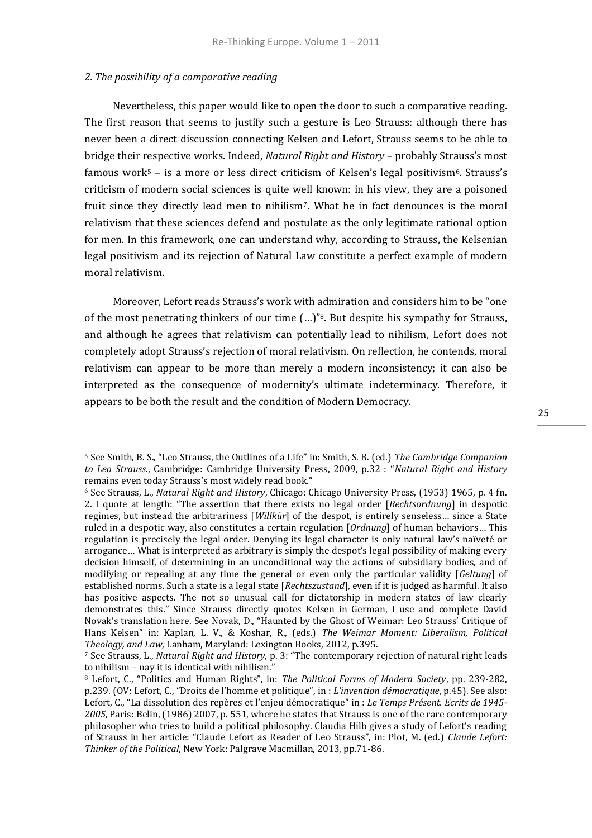#### *2. The possibility of a comparative reading*

Nevertheless, this paper would like to open the door to such a comparative reading. The first reason that seems to justify such a gesture is Leo Strauss: although there has never been a direct discussion connecting Kelsen and Lefort, Strauss seems to be able to bridge their respective works. Indeed, *Natural Right and History* – probably Strauss's most famous work<sup>5</sup> – is a more or less direct criticism of Kelsen's legal positivism<sup>6</sup>. Strauss's criticism of modern social sciences is quite well known: in his view, they are a poisoned fruit since they directly lead men to nihilism7. What he in fact denounces is the moral relativism that these sciences defend and postulate as the only legitimate rational option for men. In this framework, one can understand why, according to Strauss, the Kelsenian legal positivism and its rejection of Natural Law constitute a perfect example of modern moral relativism.

Moreover, Lefort reads Strauss's work with admiration and considers him to be "one of the most penetrating thinkers of our time (…)"8. But despite his sympathy for Strauss, and although he agrees that relativism can potentially lead to nihilism, Lefort does not completely adopt Strauss's rejection of moral relativism. On reflection, he contends, moral relativism can appear to be more than merely a modern inconsistency; it can also be interpreted as the consequence of modernity's ultimate indeterminacy. Therefore, it appears to be both the result and the condition of Modern Democracy.

<sup>5</sup> See Smith, B. S., "Leo Strauss, the Outlines of a Life" in: Smith, S. B. (ed.) *The Cambridge Companion to Leo Strauss*., Cambridge: Cambridge University Press, 2009, p.32 : "*Natural Right and History* remains even today Strauss's most widely read book."

<sup>6</sup> See Strauss, L., *Natural Right and History*, Chicago: Chicago University Press, (1953) 1965, p. 4 fn. 2. I quote at length: "The assertion that there exists no legal order [*Rechtsordnung*] in despotic regimes, but instead the arbitrariness [*Willkür*] of the despot, is entirely senseless… since a State ruled in a despotic way, also constitutes a certain regulation [*Ordnung*] of human behaviors… This regulation is precisely the legal order. Denying its legal character is only natural law's naïveté or arrogance… What is interpreted as arbitrary is simply the despot's legal possibility of making every decision himself, of determining in an unconditional way the actions of subsidiary bodies, and of modifying or repealing at any time the general or even only the particular validity [*Geltung*] of established norms. Such a state is a legal state [*Rechtszustand*], even if it is judged as harmful. It also has positive aspects. The not so unusual call for dictatorship in modern states of law clearly demonstrates this." Since Strauss directly quotes Kelsen in German, I use and complete David Novak's translation here. See Novak, D., "Haunted by the Ghost of Weimar: Leo Strauss' Critique of Hans Kelsen" in: Kaplan, L. V., & Koshar, R., (eds.) *The Weimar Moment: Liberalism, Political Theology, and Law*, Lanham, Maryland: Lexington Books, 2012, p.395.

<sup>7</sup> See Strauss, L., *Natural Right and History*, p. 3: "The contemporary rejection of natural right leads to nihilism – nay it is identical with nihilism."

<sup>8</sup> Lefort, C., "Politics and Human Rights", in: *The Political Forms of Modern Society*, pp. 239-282, p.239. (OV: Lefort, C., "Droits de l'homme et politique", in : *L'invention démocratique*, p.45). See also: Lefort, C., "La dissolution des repères et l'enjeu démocratique" in : *Le Temps Présent. Ecrits de 1945- 2005*, Paris: Belin, (1986) 2007, p. 551, where he states that Strauss is one of the rare contemporary philosopher who tries to build a political philosophy. Claudia Hilb gives a study of Lefort's reading of Strauss in her article: "Claude Lefort as Reader of Leo Strauss", in: Plot, M. (ed.) *Claude Lefort: Thinker of the Political*, New York: Palgrave Macmillan, 2013, pp.71-86.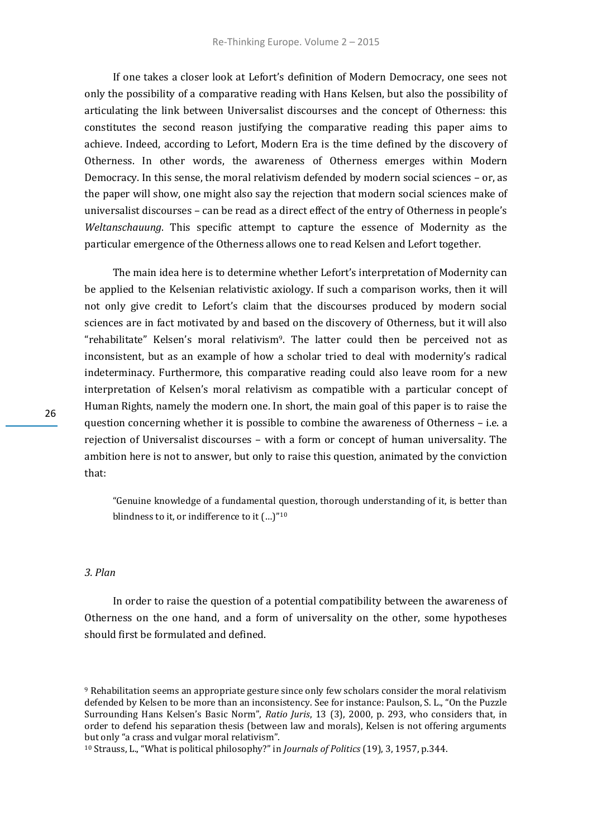If one takes a closer look at Lefort's definition of Modern Democracy, one sees not only the possibility of a comparative reading with Hans Kelsen, but also the possibility of articulating the link between Universalist discourses and the concept of Otherness: this constitutes the second reason justifying the comparative reading this paper aims to achieve. Indeed, according to Lefort, Modern Era is the time defined by the discovery of Otherness. In other words, the awareness of Otherness emerges within Modern Democracy. In this sense, the moral relativism defended by modern social sciences – or, as the paper will show, one might also say the rejection that modern social sciences make of universalist discourses – can be read as a direct effect of the entry of Otherness in people's *Weltanschauung*. This specific attempt to capture the essence of Modernity as the particular emergence of the Otherness allows one to read Kelsen and Lefort together.

The main idea here is to determine whether Lefort's interpretation of Modernity can be applied to the Kelsenian relativistic axiology. If such a comparison works, then it will not only give credit to Lefort's claim that the discourses produced by modern social sciences are in fact motivated by and based on the discovery of Otherness, but it will also "rehabilitate" Kelsen's moral relativism<sup>9</sup>. The latter could then be perceived not as inconsistent, but as an example of how a scholar tried to deal with modernity's radical indeterminacy. Furthermore, this comparative reading could also leave room for a new interpretation of Kelsen's moral relativism as compatible with a particular concept of Human Rights, namely the modern one. In short, the main goal of this paper is to raise the question concerning whether it is possible to combine the awareness of Otherness – i.e. a rejection of Universalist discourses – with a form or concept of human universality. The ambition here is not to answer, but only to raise this question, animated by the conviction that:

"Genuine knowledge of a fundamental question, thorough understanding of it, is better than blindness to it, or indifference to it  $(...)$ "<sup>10</sup>

## *3. Plan*

In order to raise the question of a potential compatibility between the awareness of Otherness on the one hand, and a form of universality on the other, some hypotheses should first be formulated and defined.

<sup>&</sup>lt;sup>9</sup> Rehabilitation seems an appropriate gesture since only few scholars consider the moral relativism defended by Kelsen to be more than an inconsistency. See for instance: Paulson, S. L., "On the Puzzle Surrounding Hans Kelsen's Basic Norm", *Ratio Juris*, 13 (3), 2000, p. 293, who considers that, in order to defend his separation thesis (between law and morals), Kelsen is not offering arguments but only "a crass and vulgar moral relativism".

<sup>10</sup> Strauss, L., "What is political philosophy?" in *Journals of Politics* (19), 3, 1957, p.344.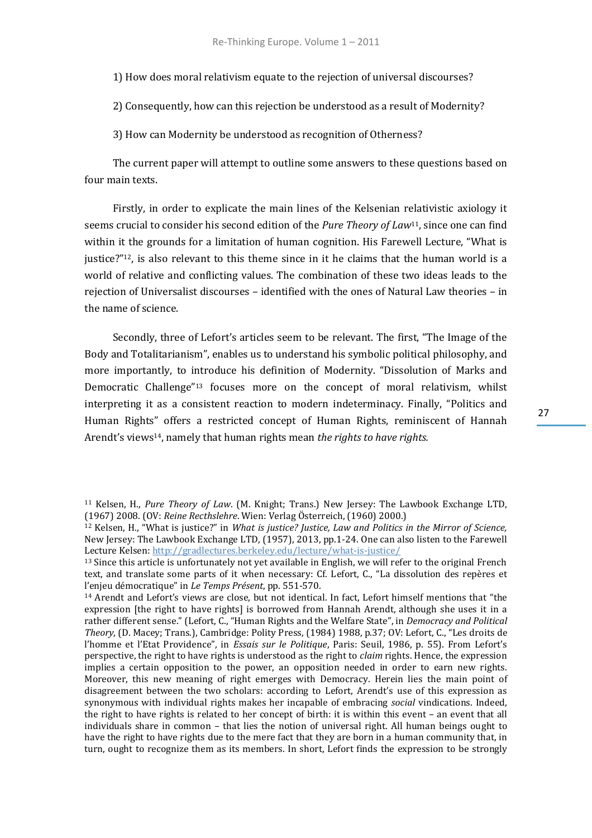1) How does moral relativism equate to the rejection of universal discourses?

2) Consequently, how can this rejection be understood as a result of Modernity?

3) How can Modernity be understood as recognition of Otherness?

The current paper will attempt to outline some answers to these questions based on four main texts.

Firstly, in order to explicate the main lines of the Kelsenian relativistic axiology it seems crucial to consider his second edition of the *Pure Theory of Law*11, since one can find within it the grounds for a limitation of human cognition. His Farewell Lecture, "What is justice?"12, is also relevant to this theme since in it he claims that the human world is a world of relative and conflicting values. The combination of these two ideas leads to the rejection of Universalist discourses – identified with the ones of Natural Law theories – in the name of science.

Secondly, three of Lefort's articles seem to be relevant. The first, "The Image of the Body and Totalitarianism", enables us to understand his symbolic political philosophy, and more importantly, to introduce his definition of Modernity. "Dissolution of Marks and Democratic Challenge"<sup>13</sup> focuses more on the concept of moral relativism, whilst interpreting it as a consistent reaction to modern indeterminacy. Finally, "Politics and Human Rights" offers a restricted concept of Human Rights, reminiscent of Hannah Arendt's views14, namely that human rights mean *the rights to have rights.*

<sup>11</sup> Kelsen, H., *Pure Theory of Law*. (M. Knight; Trans.) New Jersey: The Lawbook Exchange LTD, (1967) 2008. (OV: *Reine Recthslehre*. Wien: Verlag Österreich, (1960) 2000.)

<sup>12</sup> Kelsen, H., "What is justice?" in *What is justice? Justice, Law and Politics in the Mirror of Science,* New Jersey: The Lawbook Exchange LTD, (1957), 2013, pp.1-24. One can also listen to the Farewell Lecture Kelsen[: http://gradlectures.berkeley.edu/lecture/what-is-justice/](http://gradlectures.berkeley.edu/lecture/what-is-justice/)

<sup>&</sup>lt;sup>13</sup> Since this article is unfortunately not yet available in English, we will refer to the original French text, and translate some parts of it when necessary: Cf. Lefort, C., "La dissolution des repères et l'enjeu démocratique" in *Le Temps Présent*, pp. 551-570.

<sup>14</sup> Arendt and Lefort's views are close, but not identical. In fact, Lefort himself mentions that "the expression [the right to have rights] is borrowed from Hannah Arendt, although she uses it in a rather different sense." (Lefort, C., "Human Rights and the Welfare State", in *Democracy and Political Theory*, (D. Macey; Trans.), Cambridge: Polity Press, (1984) 1988, p.37; OV: Lefort, C., "Les droits de l'homme et l'Etat Providence", in *Essais sur le Politique*, Paris: Seuil, 1986, p. 55). From Lefort's perspective, the right to have rights is understood as the right to *claim* rights. Hence, the expression implies a certain opposition to the power, an opposition needed in order to earn new rights. Moreover, this new meaning of right emerges with Democracy. Herein lies the main point of disagreement between the two scholars: according to Lefort, Arendt's use of this expression as synonymous with individual rights makes her incapable of embracing *social* vindications. Indeed, the right to have rights is related to her concept of birth: it is within this event – an event that all individuals share in common – that lies the notion of universal right. All human beings ought to have the right to have rights due to the mere fact that they are born in a human community that, in turn, ought to recognize them as its members. In short, Lefort finds the expression to be strongly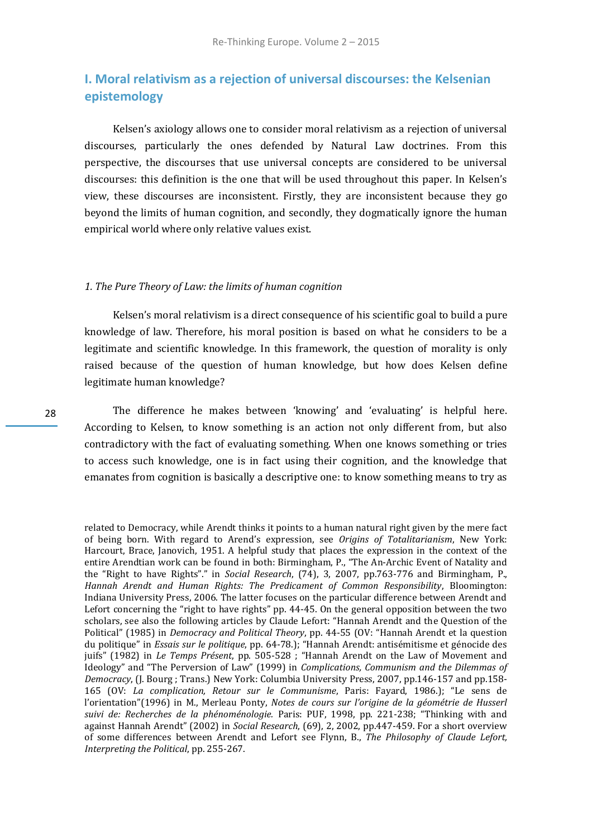## **I. Moral relativism as a rejection of universal discourses: the Kelsenian epistemology**

Kelsen's axiology allows one to consider moral relativism as a rejection of universal discourses, particularly the ones defended by Natural Law doctrines. From this perspective, the discourses that use universal concepts are considered to be universal discourses: this definition is the one that will be used throughout this paper. In Kelsen's view, these discourses are inconsistent. Firstly, they are inconsistent because they go beyond the limits of human cognition, and secondly, they dogmatically ignore the human empirical world where only relative values exist.

#### *1. The Pure Theory of Law: the limits of human cognition*

Kelsen's moral relativism is a direct consequence of his scientific goal to build a pure knowledge of law. Therefore, his moral position is based on what he considers to be a legitimate and scientific knowledge. In this framework, the question of morality is only raised because of the question of human knowledge, but how does Kelsen define legitimate human knowledge?

The difference he makes between 'knowing' and 'evaluating' is helpful here. According to Kelsen, to know something is an action not only different from, but also contradictory with the fact of evaluating something. When one knows something or tries to access such knowledge, one is in fact using their cognition, and the knowledge that emanates from cognition is basically a descriptive one: to know something means to try as

related to Democracy, while Arendt thinks it points to a human natural right given by the mere fact of being born. With regard to Arend's expression, see *Origins of Totalitarianism*, New York: Harcourt, Brace, Janovich, 1951. A helpful study that places the expression in the context of the entire Arendtian work can be found in both: Birmingham, P., "The An-Archic Event of Natality and the "Right to have Rights"." in *Social Research*, (74), 3, 2007, pp.763-776 and Birmingham, P., *Hannah Arendt and Human Rights: The Predicament of Common Responsibility*, Bloomington: Indiana University Press, 2006. The latter focuses on the particular difference between Arendt and Lefort concerning the "right to have rights" pp. 44-45. On the general opposition between the two scholars, see also the following articles by Claude Lefort: "Hannah Arendt and the Question of the Political" (1985) in *Democracy and Political Theory*, pp. 44-55 (OV: "Hannah Arendt et la question du politique" in *Essais sur le politique*, pp. 64-78.); "Hannah Arendt: antisémitisme et génocide des juifs" (1982) in *Le Temps Présent*, pp. 505-528 ; "Hannah Arendt on the Law of Movement and Ideology" and "The Perversion of Law" (1999) in *Complications, Communism and the Dilemmas of Democracy*, (J. Bourg ; Trans.) New York: Columbia University Press, 2007, pp.146-157 and pp.158- 165 (OV: *La complication, Retour sur le Communisme*, Paris: Fayard, 1986.); "Le sens de l'orientation"(1996) in M., Merleau Ponty, *Notes de cours sur l'origine de la géométrie de Husserl suivi de: Recherches de la phénoménologie.* Paris: PUF, 1998, pp. 221-238; "Thinking with and against Hannah Arendt" (2002) in *Social Research*, (69), 2, 2002, pp.447-459. For a short overview of some differences between Arendt and Lefort see Flynn, B., *The Philosophy of Claude Lefort, Interpreting the Political*, pp. 255-267.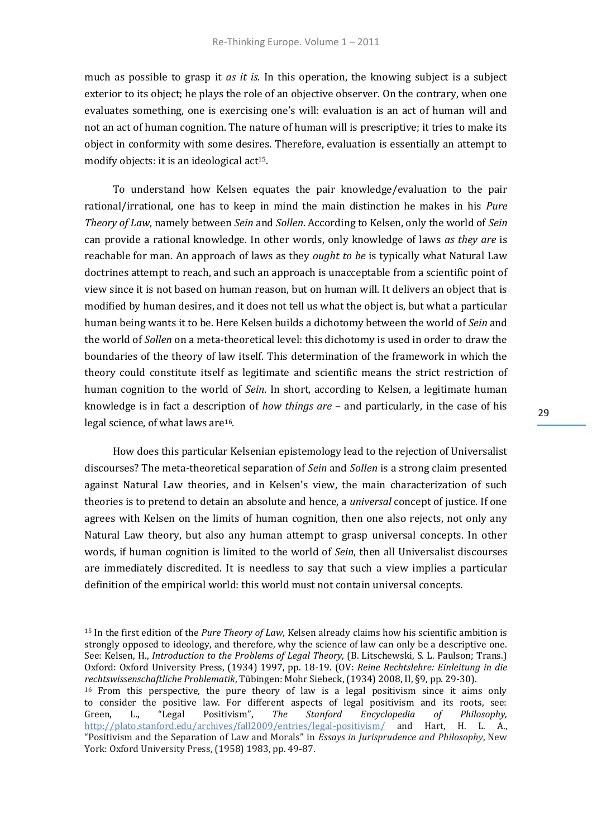much as possible to grasp it *as it is*. In this operation, the knowing subject is a subject exterior to its object; he plays the role of an objective observer. On the contrary, when one evaluates something, one is exercising one's will: evaluation is an act of human will and not an act of human cognition. The nature of human will is prescriptive; it tries to make its object in conformity with some desires. Therefore, evaluation is essentially an attempt to modify objects: it is an ideological act<sup>15</sup>.

To understand how Kelsen equates the pair knowledge/evaluation to the pair rational/irrational, one has to keep in mind the main distinction he makes in his *Pure Theory of Law*, namely between *Sein* and *Sollen*. According to Kelsen, only the world of *Sein* can provide a rational knowledge. In other words, only knowledge of laws *as they are* is reachable for man. An approach of laws as they *ought to be* is typically what Natural Law doctrines attempt to reach, and such an approach is unacceptable from a scientific point of view since it is not based on human reason, but on human will. It delivers an object that is modified by human desires, and it does not tell us what the object is, but what a particular human being wants it to be. Here Kelsen builds a dichotomy between the world of *Sein* and the world of *Sollen* on a meta-theoretical level: this dichotomy is used in order to draw the boundaries of the theory of law itself. This determination of the framework in which the theory could constitute itself as legitimate and scientific means the strict restriction of human cognition to the world of *Sein*. In short, according to Kelsen, a legitimate human knowledge is in fact a description of *how things are* – and particularly, in the case of his legal science, of what laws are16.

How does this particular Kelsenian epistemology lead to the rejection of Universalist discourses? The meta-theoretical separation of *Sein* and *Sollen* is a strong claim presented against Natural Law theories, and in Kelsen's view, the main characterization of such theories is to pretend to detain an absolute and hence, a *universal* concept of justice. If one agrees with Kelsen on the limits of human cognition, then one also rejects, not only any Natural Law theory, but also any human attempt to grasp universal concepts. In other words, if human cognition is limited to the world of *Sein*, then all Universalist discourses are immediately discredited. It is needless to say that such a view implies a particular definition of the empirical world: this world must not contain universal concepts.

<sup>15</sup> In the first edition of the *Pure Theory of Law*, Kelsen already claims how his scientific ambition is strongly opposed to ideology, and therefore, why the science of law can only be a descriptive one. See: Kelsen, H., *Introduction to the Problems of Legal Theory*, (B. Litschewski, S. L. Paulson; Trans.) Oxford: Oxford University Press, (1934) 1997, pp. 18-19. (OV: *Reine Rechtslehre: Einleitung in die rechtswissenschaftliche Problematik*, Tübingen: Mohr Siebeck, (1934) 2008, II, §9, pp. 29-30). <sup>16</sup> From this perspective, the pure theory of law is a legal positivism since it aims only to consider the positive law. For different aspects of legal positivism and its roots, see:<br>Green, L., "Legal Positivism", The Stanford Encyclopedia of Philosophy, Green, L., "Legal Positivism", *The Stanford Encyclopedia of Philosophy,* <http://plato.stanford.edu/archives/fall2009/entries/legal-positivism/> and Hart, H. L. A., "Positivism and the Separation of Law and Morals" in *Essays in Jurisprudence and Philosophy*, New York: Oxford University Press, (1958) 1983, pp. 49-87.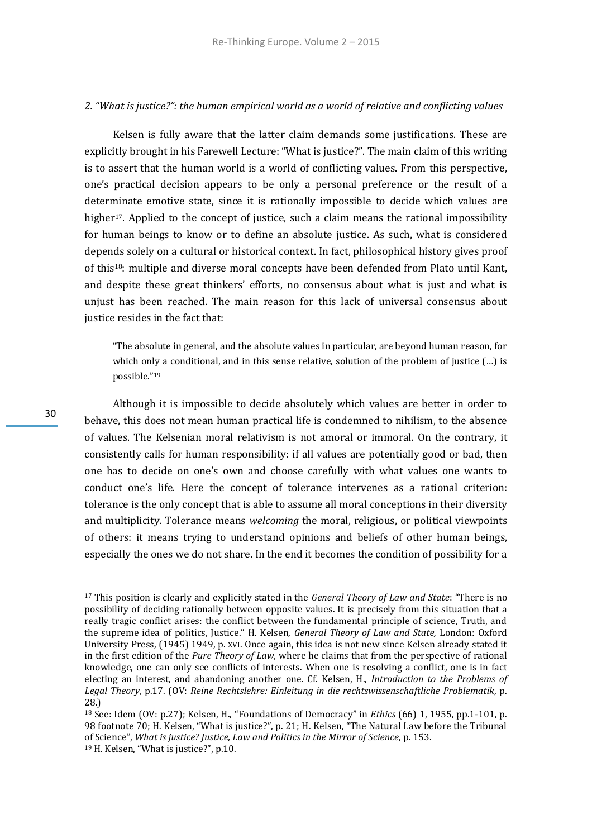## *2. "What is justice?": the human empirical world as a world of relative and conflicting values*

Kelsen is fully aware that the latter claim demands some justifications. These are explicitly brought in his Farewell Lecture: "What is justice?". The main claim of this writing is to assert that the human world is a world of conflicting values. From this perspective, one's practical decision appears to be only a personal preference or the result of a determinate emotive state, since it is rationally impossible to decide which values are higher<sup>17</sup>. Applied to the concept of justice, such a claim means the rational impossibility for human beings to know or to define an absolute justice. As such, what is considered depends solely on a cultural or historical context. In fact, philosophical history gives proof of this18: multiple and diverse moral concepts have been defended from Plato until Kant, and despite these great thinkers' efforts, no consensus about what is just and what is unjust has been reached. The main reason for this lack of universal consensus about justice resides in the fact that:

"The absolute in general, and the absolute values in particular, are beyond human reason, for which only a conditional, and in this sense relative, solution of the problem of justice  $(...)$  is possible."<sup>19</sup>

Although it is impossible to decide absolutely which values are better in order to behave, this does not mean human practical life is condemned to nihilism, to the absence of values. The Kelsenian moral relativism is not amoral or immoral. On the contrary, it consistently calls for human responsibility: if all values are potentially good or bad, then one has to decide on one's own and choose carefully with what values one wants to conduct one's life. Here the concept of tolerance intervenes as a rational criterion: tolerance is the only concept that is able to assume all moral conceptions in their diversity and multiplicity. Tolerance means *welcoming* the moral, religious, or political viewpoints of others: it means trying to understand opinions and beliefs of other human beings, especially the ones we do not share. In the end it becomes the condition of possibility for a

<sup>17</sup> This position is clearly and explicitly stated in the *General Theory of Law and State*: "There is no possibility of deciding rationally between opposite values. It is precisely from this situation that a really tragic conflict arises: the conflict between the fundamental principle of science, Truth, and the supreme idea of politics, Justice." H. Kelsen, *General Theory of Law and State,* London: Oxford University Press, (1945) 1949, p. XVI. Once again, this idea is not new since Kelsen already stated it in the first edition of the *Pure Theory of Law*, where he claims that from the perspective of rational knowledge, one can only see conflicts of interests. When one is resolving a conflict, one is in fact electing an interest, and abandoning another one. Cf. Kelsen, H., *Introduction to the Problems of Legal Theory*, p.17. (OV: *Reine Rechtslehre: Einleitung in die rechtswissenschaftliche Problematik*, p. 28.)

<sup>18</sup> See: Idem (OV: p.27); Kelsen, H., "Foundations of Democracy" in *Ethics* (66) 1, 1955, pp.1-101, p. 98 footnote 70; H. Kelsen, "What is justice?", p. 21; H. Kelsen, "The Natural Law before the Tribunal of Science", *What is justice? Justice, Law and Politics in the Mirror of Science*, p. 153.

<sup>19</sup> H. Kelsen, "What is justice?", p.10.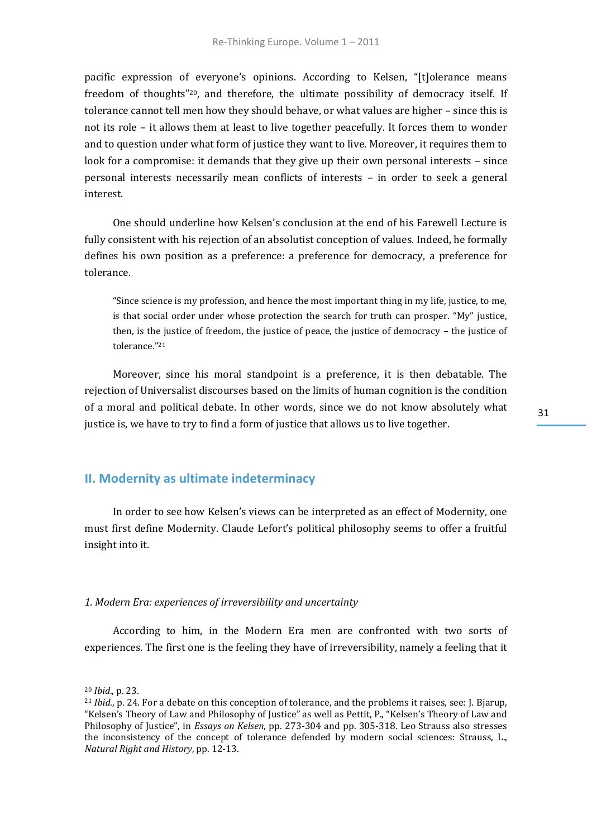pacific expression of everyone's opinions. According to Kelsen, "[t]olerance means freedom of thoughts"20, and therefore, the ultimate possibility of democracy itself. If tolerance cannot tell men how they should behave, or what values are higher – since this is not its role – it allows them at least to live together peacefully. It forces them to wonder and to question under what form of justice they want to live. Moreover, it requires them to look for a compromise: it demands that they give up their own personal interests - since personal interests necessarily mean conflicts of interests – in order to seek a general interest.

One should underline how Kelsen's conclusion at the end of his Farewell Lecture is fully consistent with his rejection of an absolutist conception of values. Indeed, he formally defines his own position as a preference: a preference for democracy, a preference for tolerance.

"Since science is my profession, and hence the most important thing in my life, justice, to me, is that social order under whose protection the search for truth can prosper. "My" justice, then, is the justice of freedom, the justice of peace, the justice of democracy – the justice of tolerance."<sup>21</sup>

Moreover, since his moral standpoint is a preference, it is then debatable. The rejection of Universalist discourses based on the limits of human cognition is the condition of a moral and political debate. In other words, since we do not know absolutely what justice is, we have to try to find a form of justice that allows us to live together.

## **II. Modernity as ultimate indeterminacy**

In order to see how Kelsen's views can be interpreted as an effect of Modernity, one must first define Modernity. Claude Lefort's political philosophy seems to offer a fruitful insight into it.

#### *1. Modern Era: experiences of irreversibility and uncertainty*

According to him, in the Modern Era men are confronted with two sorts of experiences. The first one is the feeling they have of irreversibility, namely a feeling that it

<sup>20</sup> *Ibid*., p. 23.

<sup>21</sup> *Ibid*., p. 24. For a debate on this conception of tolerance, and the problems it raises, see: J. Bjarup, "Kelsen's Theory of Law and Philosophy of Justice" as well as Pettit, P., "Kelsen's Theory of Law and Philosophy of Justice", in *Essays on Kelsen*, pp. 273-304 and pp. 305-318. Leo Strauss also stresses the inconsistency of the concept of tolerance defended by modern social sciences: Strauss, L., *Natural Right and History*, pp. 12-13.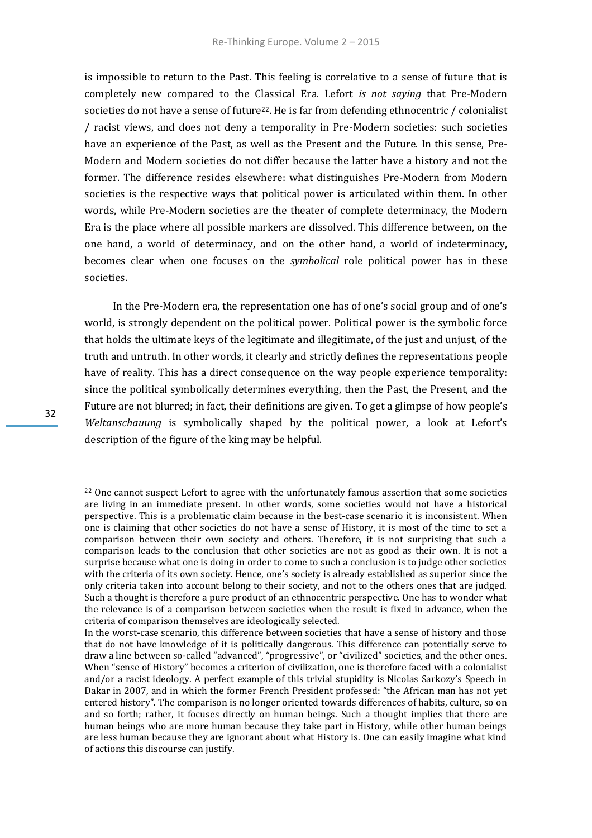is impossible to return to the Past. This feeling is correlative to a sense of future that is completely new compared to the Classical Era. Lefort *is not saying* that Pre-Modern societies do not have a sense of future<sup>22</sup>. He is far from defending ethnocentric / colonialist / racist views, and does not deny a temporality in Pre-Modern societies: such societies have an experience of the Past, as well as the Present and the Future. In this sense, Pre-Modern and Modern societies do not differ because the latter have a history and not the former. The difference resides elsewhere: what distinguishes Pre-Modern from Modern societies is the respective ways that political power is articulated within them. In other words, while Pre-Modern societies are the theater of complete determinacy, the Modern Era is the place where all possible markers are dissolved. This difference between, on the one hand, a world of determinacy, and on the other hand, a world of indeterminacy, becomes clear when one focuses on the *symbolical* role political power has in these societies.

In the Pre-Modern era, the representation one has of one's social group and of one's world, is strongly dependent on the political power. Political power is the symbolic force that holds the ultimate keys of the legitimate and illegitimate, of the just and unjust, of the truth and untruth. In other words, it clearly and strictly defines the representations people have of reality. This has a direct consequence on the way people experience temporality: since the political symbolically determines everything, then the Past, the Present, and the Future are not blurred; in fact, their definitions are given. To get a glimpse of how people's *Weltanschauung* is symbolically shaped by the political power, a look at Lefort's description of the figure of the king may be helpful.

In the worst-case scenario, this difference between societies that have a sense of history and those that do not have knowledge of it is politically dangerous. This difference can potentially serve to draw a line between so-called "advanced", "progressive", or "civilized" societies, and the other ones. When "sense of History" becomes a criterion of civilization, one is therefore faced with a colonialist and/or a racist ideology. A perfect example of this trivial stupidity is Nicolas Sarkozy's Speech in Dakar in 2007, and in which the former French President professed: "the African man has not yet entered history". The comparison is no longer oriented towards differences of habits, culture, so on and so forth; rather, it focuses directly on human beings. Such a thought implies that there are human beings who are more human because they take part in History, while other human beings are less human because they are ignorant about what History is. One can easily imagine what kind of actions this discourse can justify.

 $22$  One cannot suspect Lefort to agree with the unfortunately famous assertion that some societies are living in an immediate present. In other words, some societies would not have a historical perspective. This is a problematic claim because in the best-case scenario it is inconsistent. When one is claiming that other societies do not have a sense of History, it is most of the time to set a comparison between their own society and others. Therefore, it is not surprising that such a comparison leads to the conclusion that other societies are not as good as their own. It is not a surprise because what one is doing in order to come to such a conclusion is to judge other societies with the criteria of its own society. Hence, one's society is already established as superior since the only criteria taken into account belong to their society, and not to the others ones that are judged. Such a thought is therefore a pure product of an ethnocentric perspective. One has to wonder what the relevance is of a comparison between societies when the result is fixed in advance, when the criteria of comparison themselves are ideologically selected.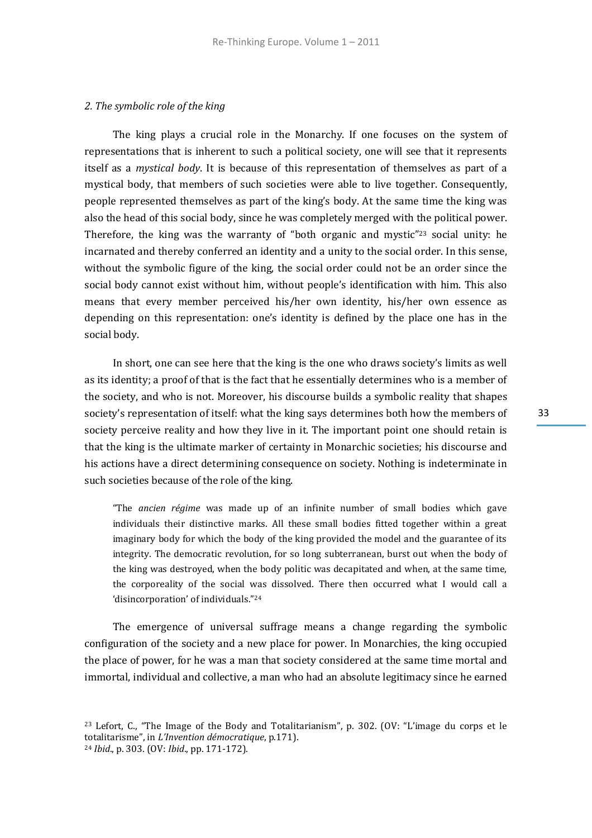### *2. The symbolic role of the king*

The king plays a crucial role in the Monarchy. If one focuses on the system of representations that is inherent to such a political society, one will see that it represents itself as a *mystical body*. It is because of this representation of themselves as part of a mystical body, that members of such societies were able to live together. Consequently, people represented themselves as part of the king's body. At the same time the king was also the head of this social body, since he was completely merged with the political power. Therefore, the king was the warranty of "both organic and mystic"<sup>23</sup> social unity: he incarnated and thereby conferred an identity and a unity to the social order. In this sense, without the symbolic figure of the king, the social order could not be an order since the social body cannot exist without him, without people's identification with him. This also means that every member perceived his/her own identity, his/her own essence as depending on this representation: one's identity is defined by the place one has in the social body.

In short, one can see here that the king is the one who draws society's limits as well as its identity; a proof of that is the fact that he essentially determines who is a member of the society, and who is not. Moreover, his discourse builds a symbolic reality that shapes society's representation of itself: what the king says determines both how the members of society perceive reality and how they live in it. The important point one should retain is that the king is the ultimate marker of certainty in Monarchic societies; his discourse and his actions have a direct determining consequence on society. Nothing is indeterminate in such societies because of the role of the king.

"The *ancien régime* was made up of an infinite number of small bodies which gave individuals their distinctive marks. All these small bodies fitted together within a great imaginary body for which the body of the king provided the model and the guarantee of its integrity. The democratic revolution, for so long subterranean, burst out when the body of the king was destroyed, when the body politic was decapitated and when, at the same time, the corporeality of the social was dissolved. There then occurred what I would call a 'disincorporation' of individuals."<sup>24</sup>

The emergence of universal suffrage means a change regarding the symbolic configuration of the society and a new place for power. In Monarchies, the king occupied the place of power, for he was a man that society considered at the same time mortal and immortal, individual and collective, a man who had an absolute legitimacy since he earned

<sup>23</sup> Lefort, C., "The Image of the Body and Totalitarianism", p. 302. (OV: "L'image du corps et le totalitarisme", in *L'Invention démocratique*, p.171).

<sup>24</sup> *Ibid*., p. 303. (OV: *Ibid*., pp. 171-172).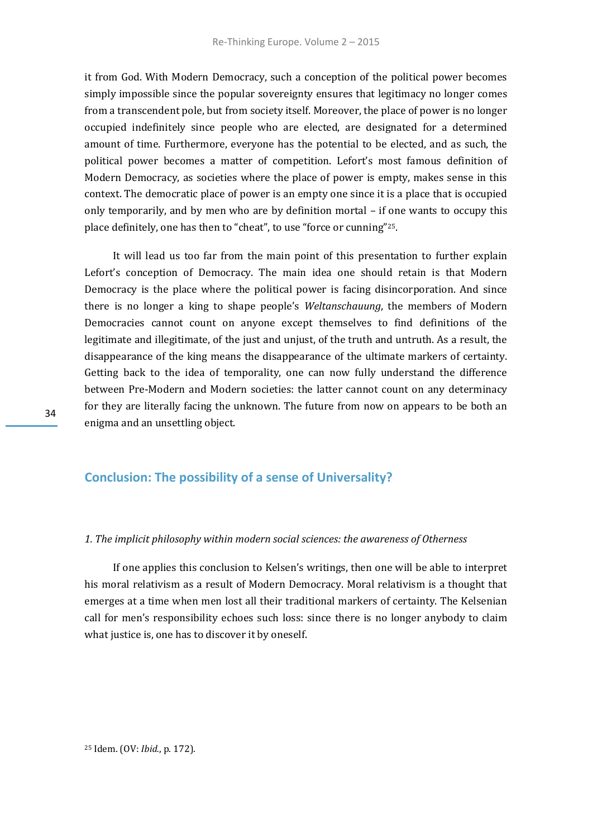it from God. With Modern Democracy, such a conception of the political power becomes simply impossible since the popular sovereignty ensures that legitimacy no longer comes from a transcendent pole, but from society itself. Moreover, the place of power is no longer occupied indefinitely since people who are elected, are designated for a determined amount of time. Furthermore, everyone has the potential to be elected, and as such, the political power becomes a matter of competition. Lefort's most famous definition of Modern Democracy, as societies where the place of power is empty, makes sense in this context. The democratic place of power is an empty one since it is a place that is occupied only temporarily, and by men who are by definition mortal – if one wants to occupy this place definitely, one has then to "cheat", to use "force or cunning"25.

It will lead us too far from the main point of this presentation to further explain Lefort's conception of Democracy. The main idea one should retain is that Modern Democracy is the place where the political power is facing disincorporation. And since there is no longer a king to shape people's *Weltanschauung*, the members of Modern Democracies cannot count on anyone except themselves to find definitions of the legitimate and illegitimate, of the just and unjust, of the truth and untruth. As a result, the disappearance of the king means the disappearance of the ultimate markers of certainty. Getting back to the idea of temporality, one can now fully understand the difference between Pre-Modern and Modern societies: the latter cannot count on any determinacy for they are literally facing the unknown. The future from now on appears to be both an enigma and an unsettling object.

## **Conclusion: The possibility of a sense of Universality?**

#### *1. The implicit philosophy within modern social sciences: the awareness of Otherness*

If one applies this conclusion to Kelsen's writings, then one will be able to interpret his moral relativism as a result of Modern Democracy. Moral relativism is a thought that emerges at a time when men lost all their traditional markers of certainty. The Kelsenian call for men's responsibility echoes such loss: since there is no longer anybody to claim what justice is, one has to discover it by oneself.

<sup>25</sup> Idem. (OV: *Ibid.*, p. 172).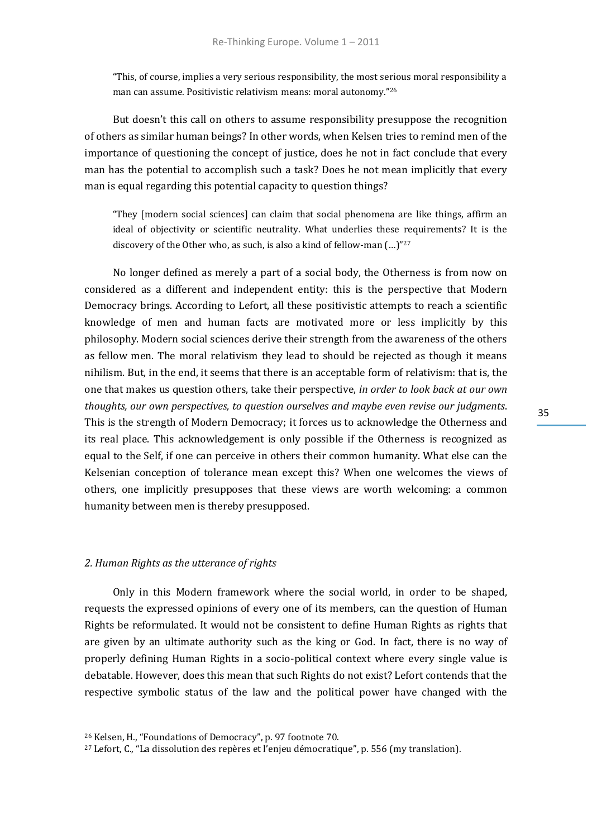"This, of course, implies a very serious responsibility, the most serious moral responsibility a man can assume. Positivistic relativism means: moral autonomy."<sup>26</sup>

But doesn't this call on others to assume responsibility presuppose the recognition of others as similar human beings? In other words, when Kelsen tries to remind men of the importance of questioning the concept of justice, does he not in fact conclude that every man has the potential to accomplish such a task? Does he not mean implicitly that every man is equal regarding this potential capacity to question things?

"They [modern social sciences] can claim that social phenomena are like things, affirm an ideal of objectivity or scientific neutrality. What underlies these requirements? It is the discovery of the Other who, as such, is also a kind of fellow-man (…)"<sup>27</sup>

No longer defined as merely a part of a social body, the Otherness is from now on considered as a different and independent entity: this is the perspective that Modern Democracy brings. According to Lefort, all these positivistic attempts to reach a scientific knowledge of men and human facts are motivated more or less implicitly by this philosophy. Modern social sciences derive their strength from the awareness of the others as fellow men. The moral relativism they lead to should be rejected as though it means nihilism. But, in the end, it seems that there is an acceptable form of relativism: that is, the one that makes us question others, take their perspective, *in order to look back at our own thoughts, our own perspectives, to question ourselves and maybe even revise our judgments*. This is the strength of Modern Democracy; it forces us to acknowledge the Otherness and its real place. This acknowledgement is only possible if the Otherness is recognized as equal to the Self, if one can perceive in others their common humanity. What else can the Kelsenian conception of tolerance mean except this? When one welcomes the views of others, one implicitly presupposes that these views are worth welcoming: a common humanity between men is thereby presupposed.

#### *2. Human Rights as the utterance of rights*

Only in this Modern framework where the social world, in order to be shaped, requests the expressed opinions of every one of its members, can the question of Human Rights be reformulated. It would not be consistent to define Human Rights as rights that are given by an ultimate authority such as the king or God. In fact, there is no way of properly defining Human Rights in a socio-political context where every single value is debatable. However, does this mean that such Rights do not exist? Lefort contends that the respective symbolic status of the law and the political power have changed with the

<sup>26</sup> Kelsen, H., "Foundations of Democracy", p. 97 footnote 70.

<sup>27</sup> Lefort, C., "La dissolution des repères et l'enjeu démocratique", p. 556 (my translation).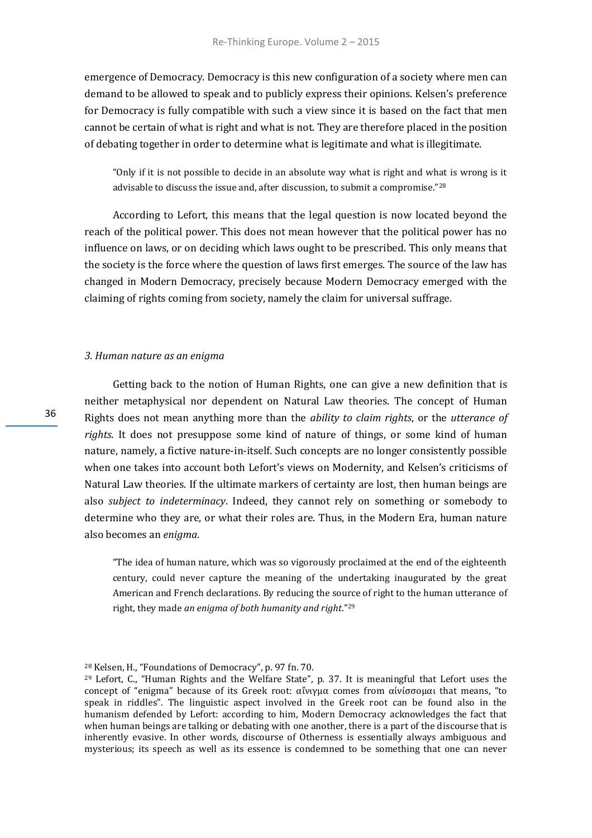emergence of Democracy. Democracy is this new configuration of a society where men can demand to be allowed to speak and to publicly express their opinions. Kelsen's preference for Democracy is fully compatible with such a view since it is based on the fact that men cannot be certain of what is right and what is not. They are therefore placed in the position of debating together in order to determine what is legitimate and what is illegitimate.

"Only if it is not possible to decide in an absolute way what is right and what is wrong is it advisable to discuss the issue and, after discussion, to submit a compromise."<sup>28</sup>

According to Lefort, this means that the legal question is now located beyond the reach of the political power. This does not mean however that the political power has no influence on laws, or on deciding which laws ought to be prescribed. This only means that the society is the force where the question of laws first emerges. The source of the law has changed in Modern Democracy, precisely because Modern Democracy emerged with the claiming of rights coming from society, namely the claim for universal suffrage.

#### *3. Human nature as an enigma*

Getting back to the notion of Human Rights, one can give a new definition that is neither metaphysical nor dependent on Natural Law theories. The concept of Human Rights does not mean anything more than the *ability to claim rights*, or the *utterance of rights*. It does not presuppose some kind of nature of things, or some kind of human nature, namely, a fictive nature-in-itself. Such concepts are no longer consistently possible when one takes into account both Lefort's views on Modernity, and Kelsen's criticisms of Natural Law theories. If the ultimate markers of certainty are lost, then human beings are also *subject to indeterminacy*. Indeed, they cannot rely on something or somebody to determine who they are, or what their roles are. Thus, in the Modern Era, human nature also becomes an *enigma*.

"The idea of human nature, which was so vigorously proclaimed at the end of the eighteenth century, could never capture the meaning of the undertaking inaugurated by the great American and French declarations. By reducing the source of right to the human utterance of right, they made *an enigma of both humanity and right*."<sup>29</sup>

<sup>28</sup> Kelsen, H., "Foundations of Democracy", p. 97 fn. 70.

<sup>29</sup> Lefort, C., "Human Rights and the Welfare State", p. 37. It is meaningful that Lefort uses the concept of "enigma" because of its Greek root: αἴνιγμα comes from αἰνίσσομαι that means, "to speak in riddles". The linguistic aspect involved in the Greek root can be found also in the humanism defended by Lefort: according to him, Modern Democracy acknowledges the fact that when human beings are talking or debating with one another, there is a part of the discourse that is inherently evasive. In other words, discourse of Otherness is essentially always ambiguous and mysterious; its speech as well as its essence is condemned to be something that one can never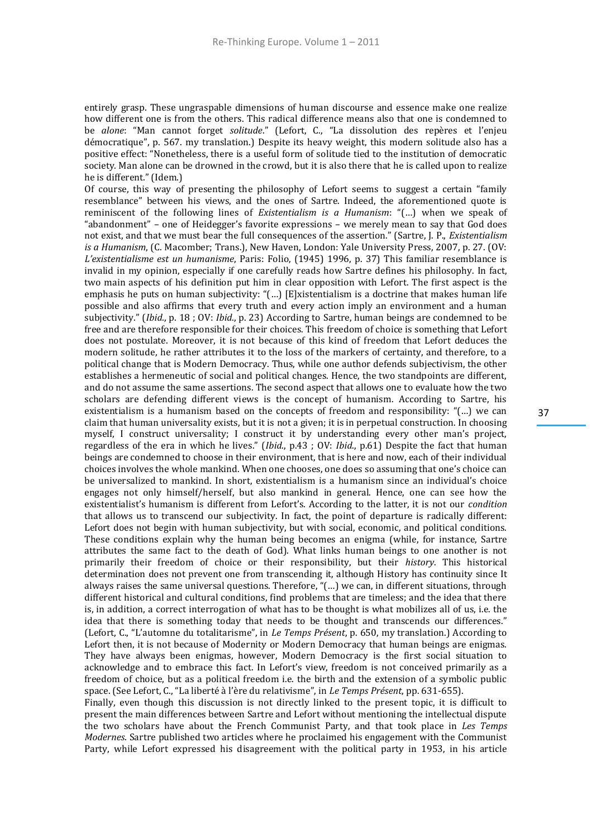entirely grasp. These ungraspable dimensions of human discourse and essence make one realize how different one is from the others. This radical difference means also that one is condemned to be *alone*: "Man cannot forget *solitude*." (Lefort, C., "La dissolution des repères et l'enjeu démocratique", p. 567. my translation.) Despite its heavy weight, this modern solitude also has a positive effect: "Nonetheless, there is a useful form of solitude tied to the institution of democratic society. Man alone can be drowned in the crowd, but it is also there that he is called upon to realize he is different." (Idem.)

Of course, this way of presenting the philosophy of Lefort seems to suggest a certain "family resemblance" between his views, and the ones of Sartre. Indeed, the aforementioned quote is reminiscent of the following lines of *Existentialism is a Humanism*: "(…) when we speak of "abandonment" – one of Heidegger's favorite expressions – we merely mean to say that God does not exist, and that we must bear the full consequences of the assertion." (Sartre, J. P., *Existentialism is a Humanism*, (C. Macomber; Trans.), New Haven, London: Yale University Press, 2007, p. 27. (OV: *L'existentialisme est un humanisme*, Paris: Folio, (1945) 1996, p. 37) This familiar resemblance is invalid in my opinion, especially if one carefully reads how Sartre defines his philosophy. In fact, two main aspects of his definition put him in clear opposition with Lefort. The first aspect is the emphasis he puts on human subjectivity: "(...) [E]xistentialism is a doctrine that makes human life possible and also affirms that every truth and every action imply an environment and a human subjectivity." (*Ibid*., p. 18 ; OV: *Ibid*., p. 23) According to Sartre, human beings are condemned to be free and are therefore responsible for their choices. This freedom of choice is something that Lefort does not postulate. Moreover, it is not because of this kind of freedom that Lefort deduces the modern solitude, he rather attributes it to the loss of the markers of certainty, and therefore, to a political change that is Modern Democracy. Thus, while one author defends subjectivism, the other establishes a hermeneutic of social and political changes. Hence, the two standpoints are different, and do not assume the same assertions. The second aspect that allows one to evaluate how the two scholars are defending different views is the concept of humanism. According to Sartre, his existentialism is a humanism based on the concepts of freedom and responsibility: "(…) we can claim that human universality exists, but it is not a given; it is in perpetual construction. In choosing myself, I construct universality; I construct it by understanding every other man's project, regardless of the era in which he lives." (*Ibid*., p.43 ; OV: *Ibid*., p.61) Despite the fact that human beings are condemned to choose in their environment, that is here and now, each of their individual choices involves the whole mankind. When one chooses, one does so assuming that one's choice can be universalized to mankind. In short, existentialism is a humanism since an individual's choice engages not only himself/herself, but also mankind in general. Hence, one can see how the existentialist's humanism is different from Lefort's. According to the latter, it is not our *condition* that allows us to transcend our subjectivity. In fact, the point of departure is radically different: Lefort does not begin with human subjectivity, but with social, economic, and political conditions. These conditions explain why the human being becomes an enigma (while, for instance, Sartre attributes the same fact to the death of God). What links human beings to one another is not primarily their freedom of choice or their responsibility, but their *history*. This historical determination does not prevent one from transcending it, although History has continuity since It always raises the same universal questions. Therefore, "(…) we can, in different situations, through different historical and cultural conditions, find problems that are timeless; and the idea that there is, in addition, a correct interrogation of what has to be thought is what mobilizes all of us, i.e. the idea that there is something today that needs to be thought and transcends our differences." (Lefort, C., "L'automne du totalitarisme", in *Le Temps Présent*, p. 650, my translation.) According to Lefort then, it is not because of Modernity or Modern Democracy that human beings are enigmas. They have always been enigmas, however, Modern Democracy is the first social situation to acknowledge and to embrace this fact. In Lefort's view, freedom is not conceived primarily as a freedom of choice, but as a political freedom i.e. the birth and the extension of a symbolic public space. (See Lefort, C., "La liberté à l'ère du relativisme", in *Le Temps Présent*, pp. 631-655).

Finally, even though this discussion is not directly linked to the present topic, it is difficult to present the main differences between Sartre and Lefort without mentioning the intellectual dispute the two scholars have about the French Communist Party, and that took place in *Les Temps Modernes*. Sartre published two articles where he proclaimed his engagement with the Communist Party, while Lefort expressed his disagreement with the political party in 1953, in his article